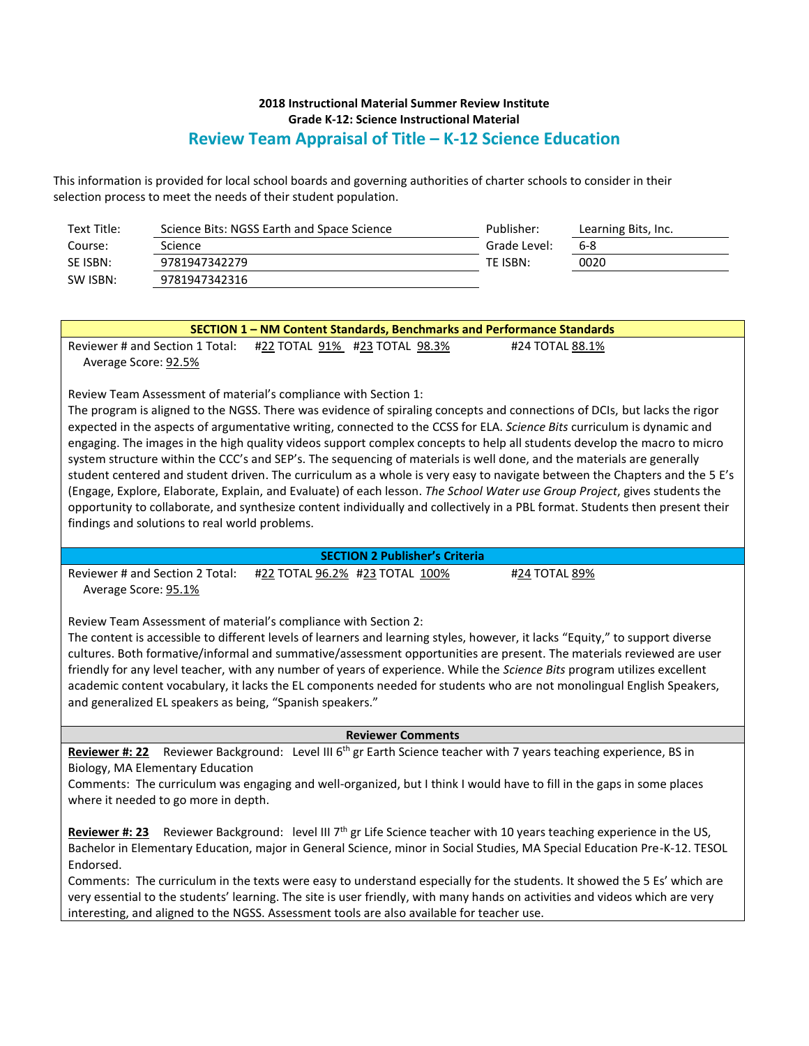### **2018 Instructional Material Summer Review Institute Grade K-12: Science Instructional Material Review Team Appraisal of Title – K-12 Science Education**

This information is provided for local school boards and governing authorities of charter schools to consider in their selection process to meet the needs of their student population.

| Text Title: | Science Bits: NGSS Earth and Space Science | Publisher:   | Learning Bits, Inc. |
|-------------|--------------------------------------------|--------------|---------------------|
| Course:     | Science                                    | Grade Level: | 6-8                 |
| SE ISBN:    | 9781947342279                              | TE ISBN:     | 0020                |
| SW ISBN:    | 9781947342316                              |              |                     |

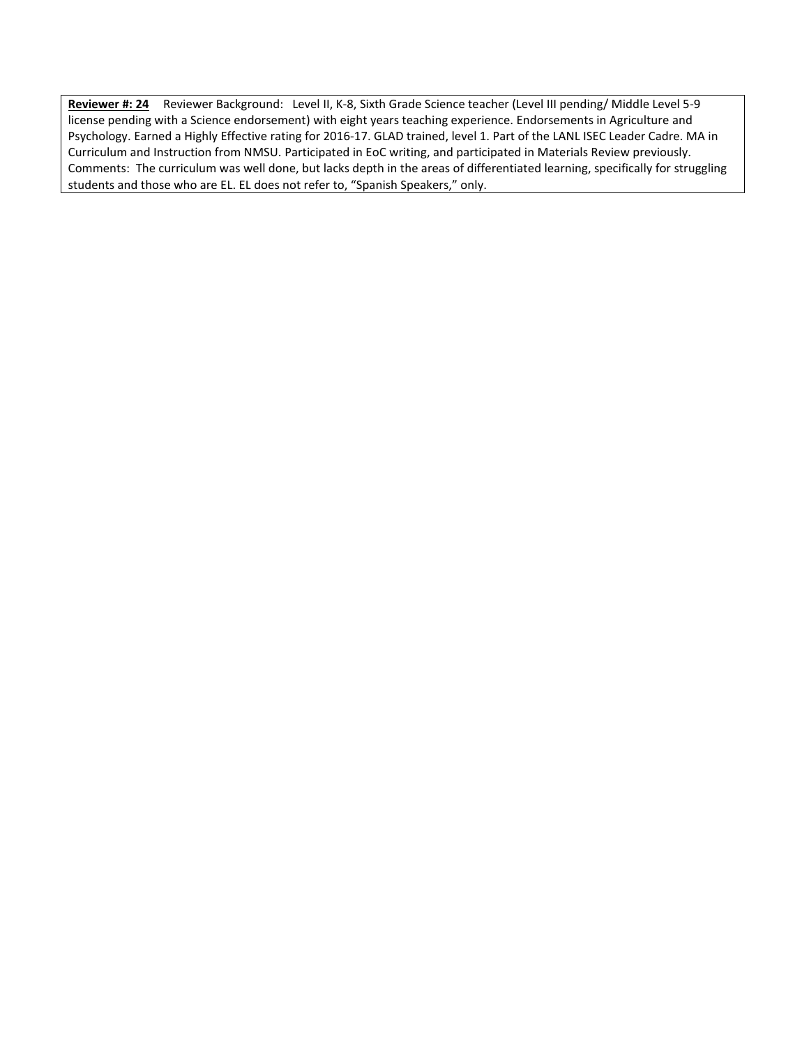**Reviewer #: 24** Reviewer Background: Level II, K-8, Sixth Grade Science teacher (Level III pending/ Middle Level 5-9 license pending with a Science endorsement) with eight years teaching experience. Endorsements in Agriculture and Psychology. Earned a Highly Effective rating for 2016-17. GLAD trained, level 1. Part of the LANL ISEC Leader Cadre. MA in Curriculum and Instruction from NMSU. Participated in EoC writing, and participated in Materials Review previously. Comments: The curriculum was well done, but lacks depth in the areas of differentiated learning, specifically for struggling students and those who are EL. EL does not refer to, "Spanish Speakers," only.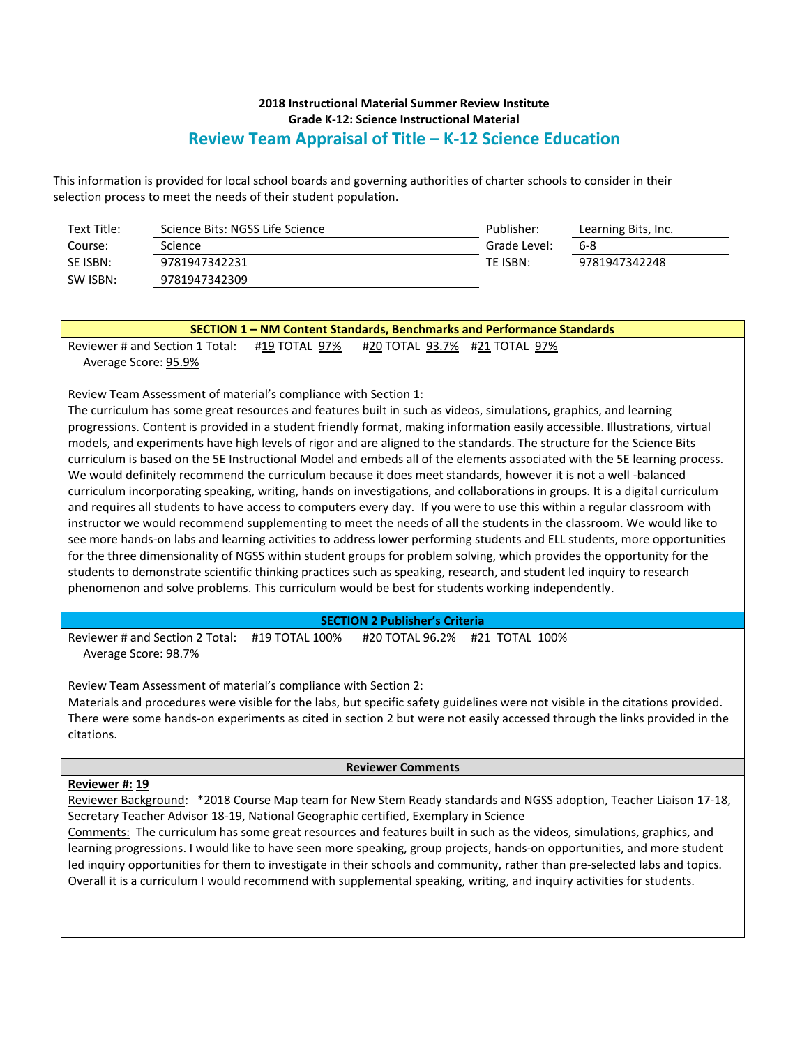# **2018 Instructional Material Summer Review Institute Grade K-12: Science Instructional Material Review Team Appraisal of Title – K-12 Science Education**

This information is provided for local school boards and governing authorities of charter schools to consider in their selection process to meet the needs of their student population.

| Text Title: | Science Bits: NGSS Life Science | Publisher:   | Learning Bits, Inc. |
|-------------|---------------------------------|--------------|---------------------|
| Course:     | Science                         | Grade Level: | 6-8                 |
| SE ISBN:    | 9781947342231                   | TE ISBN:     | 9781947342248       |
| SW ISBN:    | 9781947342309                   |              |                     |

| SECTION 1 - NM Content Standards, Benchmarks and Performance Standards                                                         |  |  |  |  |  |
|--------------------------------------------------------------------------------------------------------------------------------|--|--|--|--|--|
| Reviewer # and Section 1 Total:<br>#19 TOTAL 97%<br>#20 TOTAL 93.7% #21 TOTAL 97%                                              |  |  |  |  |  |
| Average Score: 95.9%                                                                                                           |  |  |  |  |  |
|                                                                                                                                |  |  |  |  |  |
| Review Team Assessment of material's compliance with Section 1:                                                                |  |  |  |  |  |
| The curriculum has some great resources and features built in such as videos, simulations, graphics, and learning              |  |  |  |  |  |
| progressions. Content is provided in a student friendly format, making information easily accessible. Illustrations, virtual   |  |  |  |  |  |
| models, and experiments have high levels of rigor and are aligned to the standards. The structure for the Science Bits         |  |  |  |  |  |
| curriculum is based on the 5E Instructional Model and embeds all of the elements associated with the 5E learning process.      |  |  |  |  |  |
| We would definitely recommend the curriculum because it does meet standards, however it is not a well -balanced                |  |  |  |  |  |
| curriculum incorporating speaking, writing, hands on investigations, and collaborations in groups. It is a digital curriculum  |  |  |  |  |  |
| and requires all students to have access to computers every day. If you were to use this within a regular classroom with       |  |  |  |  |  |
| instructor we would recommend supplementing to meet the needs of all the students in the classroom. We would like to           |  |  |  |  |  |
| see more hands-on labs and learning activities to address lower performing students and ELL students, more opportunities       |  |  |  |  |  |
| for the three dimensionality of NGSS within student groups for problem solving, which provides the opportunity for the         |  |  |  |  |  |
| students to demonstrate scientific thinking practices such as speaking, research, and student led inquiry to research          |  |  |  |  |  |
| phenomenon and solve problems. This curriculum would be best for students working independently.                               |  |  |  |  |  |
| <b>SECTION 2 Publisher's Criteria</b>                                                                                          |  |  |  |  |  |
| Reviewer # and Section 2 Total:<br>#19 TOTAL 100%<br>#20 TOTAL 96.2%<br>#21 TOTAL 100%                                         |  |  |  |  |  |
| Average Score: 98.7%                                                                                                           |  |  |  |  |  |
|                                                                                                                                |  |  |  |  |  |
| Review Team Assessment of material's compliance with Section 2:                                                                |  |  |  |  |  |
| Materials and procedures were visible for the labs, but specific safety guidelines were not visible in the citations provided. |  |  |  |  |  |
| There were some hands-on experiments as cited in section 2 but were not easily accessed through the links provided in the      |  |  |  |  |  |
| citations.                                                                                                                     |  |  |  |  |  |
|                                                                                                                                |  |  |  |  |  |
| <b>Reviewer Comments</b>                                                                                                       |  |  |  |  |  |
| Reviewer #: 19                                                                                                                 |  |  |  |  |  |
| Reviewer Background: *2018 Course Map team for New Stem Ready standards and NGSS adoption, Teacher Liaison 17-18,              |  |  |  |  |  |
| Secretary Teacher Advisor 18-19, National Geographic certified, Exemplary in Science                                           |  |  |  |  |  |
| Comments: The curriculum has some great resources and features built in such as the videos, simulations, graphics, and         |  |  |  |  |  |
| learning progressions. I would like to have seen more speaking, group projects, hands-on opportunities, and more student       |  |  |  |  |  |
| led inquiry opportunities for them to investigate in their schools and community, rather than pre-selected labs and topics.    |  |  |  |  |  |
| Overall it is a curriculum I would recommend with supplemental speaking, writing, and inquiry activities for students.         |  |  |  |  |  |
|                                                                                                                                |  |  |  |  |  |
|                                                                                                                                |  |  |  |  |  |
|                                                                                                                                |  |  |  |  |  |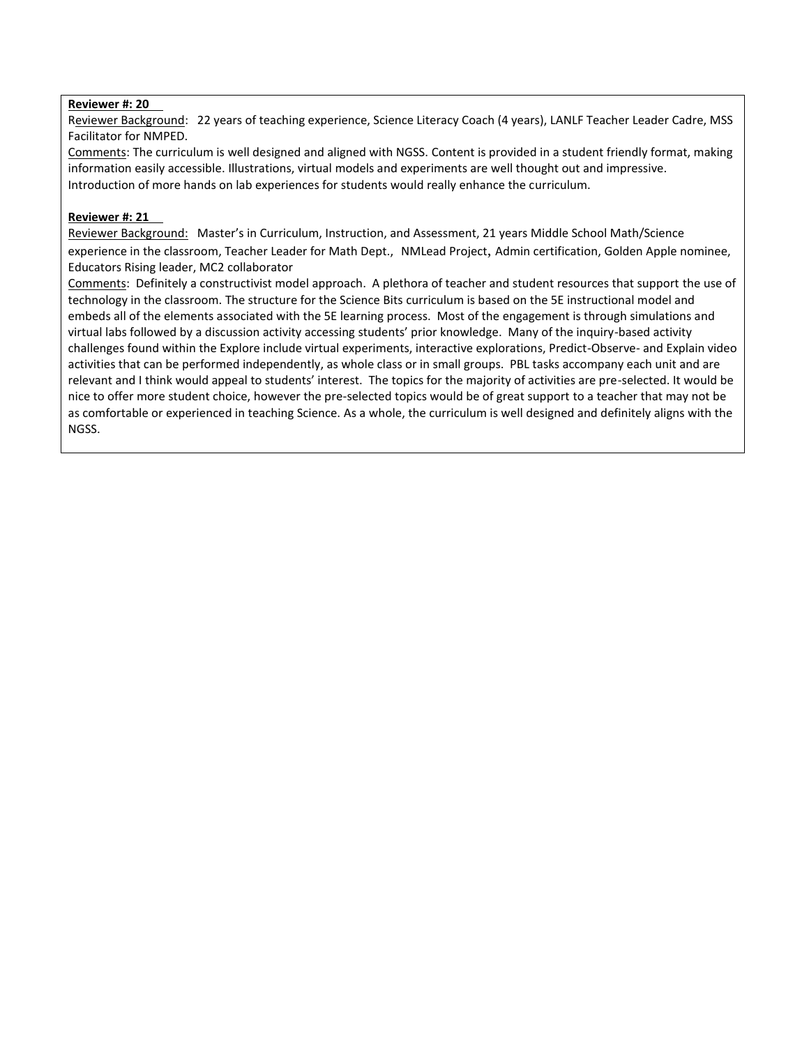#### **Reviewer #: 20**

Reviewer Background: 22 years of teaching experience, Science Literacy Coach (4 years), LANLF Teacher Leader Cadre, MSS Facilitator for NMPED.

Comments: The curriculum is well designed and aligned with NGSS. Content is provided in a student friendly format, making information easily accessible. Illustrations, virtual models and experiments are well thought out and impressive. Introduction of more hands on lab experiences for students would really enhance the curriculum.

### **Reviewer #: 21**

Reviewer Background: Master's in Curriculum, Instruction, and Assessment, 21 years Middle School Math/Science experience in the classroom, Teacher Leader for Math Dept., NMLead Project, Admin certification, Golden Apple nominee, Educators Rising leader, MC2 collaborator

Comments: Definitely a constructivist model approach. A plethora of teacher and student resources that support the use of technology in the classroom. The structure for the Science Bits curriculum is based on the 5E instructional model and embeds all of the elements associated with the 5E learning process. Most of the engagement is through simulations and virtual labs followed by a discussion activity accessing students' prior knowledge. Many of the inquiry-based activity challenges found within the Explore include virtual experiments, interactive explorations, Predict-Observe- and Explain video activities that can be performed independently, as whole class or in small groups. PBL tasks accompany each unit and are relevant and I think would appeal to students' interest. The topics for the majority of activities are pre-selected. It would be nice to offer more student choice, however the pre-selected topics would be of great support to a teacher that may not be as comfortable or experienced in teaching Science. As a whole, the curriculum is well designed and definitely aligns with the NGSS.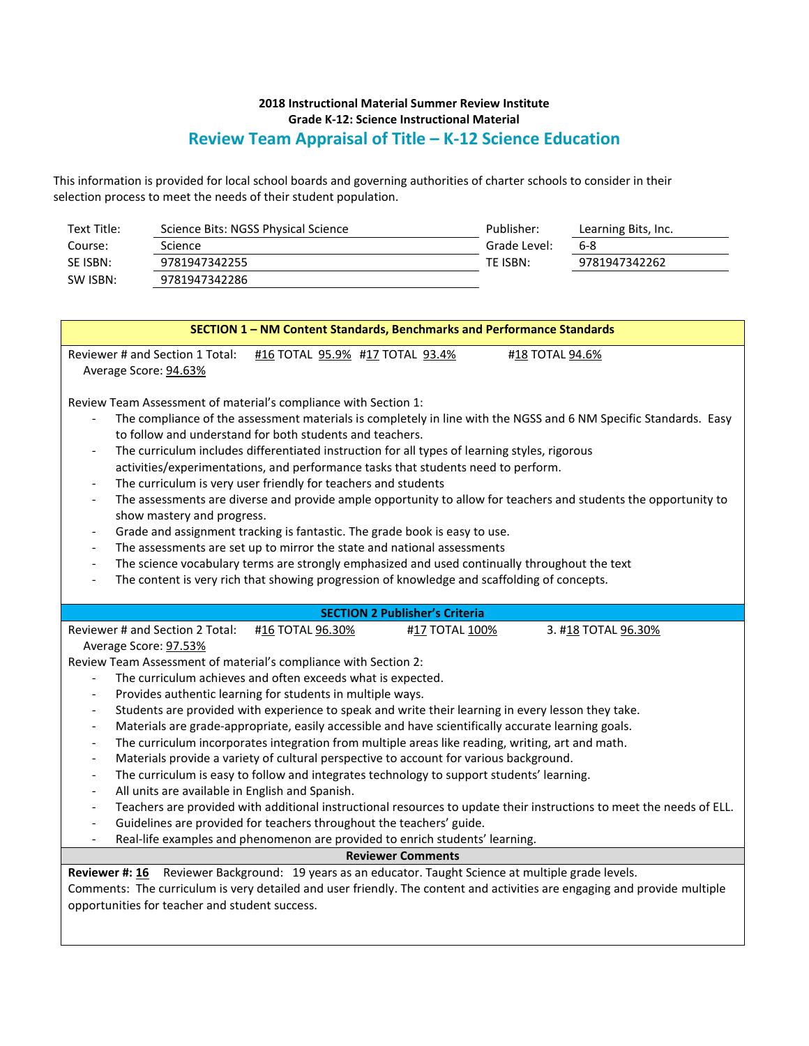# **2018 Instructional Material Summer Review Institute Grade K-12: Science Instructional Material Review Team Appraisal of Title – K-12 Science Education**

This information is provided for local school boards and governing authorities of charter schools to consider in their selection process to meet the needs of their student population.

| Text Title: | Science Bits: NGSS Physical Science | Publisher:   | Learning Bits, Inc. |
|-------------|-------------------------------------|--------------|---------------------|
| Course:     | Science                             | Grade Level: | 6-8                 |
| SE ISBN:    | 9781947342255                       | TE ISBN:     | 9781947342262       |
| SW ISBN:    | 9781947342286                       |              |                     |

| SECTION 1 - NM Content Standards, Benchmarks and Performance Standards                                                                                                                                                                                                                                                                                                                                                                                                                                                                                                                                                                                                                                                                                                                                                                                                                                                                                                                                                                                                                                                                                                                                                                                                                                                                                                                         |  |  |  |  |
|------------------------------------------------------------------------------------------------------------------------------------------------------------------------------------------------------------------------------------------------------------------------------------------------------------------------------------------------------------------------------------------------------------------------------------------------------------------------------------------------------------------------------------------------------------------------------------------------------------------------------------------------------------------------------------------------------------------------------------------------------------------------------------------------------------------------------------------------------------------------------------------------------------------------------------------------------------------------------------------------------------------------------------------------------------------------------------------------------------------------------------------------------------------------------------------------------------------------------------------------------------------------------------------------------------------------------------------------------------------------------------------------|--|--|--|--|
| Reviewer # and Section 1 Total:<br>#16 TOTAL 95.9% #17 TOTAL 93.4%<br>#18 TOTAL 94.6%<br>Average Score: 94.63%                                                                                                                                                                                                                                                                                                                                                                                                                                                                                                                                                                                                                                                                                                                                                                                                                                                                                                                                                                                                                                                                                                                                                                                                                                                                                 |  |  |  |  |
| Review Team Assessment of material's compliance with Section 1:<br>The compliance of the assessment materials is completely in line with the NGSS and 6 NM Specific Standards. Easy<br>to follow and understand for both students and teachers.<br>The curriculum includes differentiated instruction for all types of learning styles, rigorous<br>activities/experimentations, and performance tasks that students need to perform.<br>The curriculum is very user friendly for teachers and students<br>The assessments are diverse and provide ample opportunity to allow for teachers and students the opportunity to<br>$\frac{1}{2}$<br>show mastery and progress.<br>Grade and assignment tracking is fantastic. The grade book is easy to use.<br>$\overline{\phantom{0}}$<br>The assessments are set up to mirror the state and national assessments<br>$\qquad \qquad \blacksquare$<br>The science vocabulary terms are strongly emphasized and used continually throughout the text<br>$\overline{\phantom{a}}$<br>The content is very rich that showing progression of knowledge and scaffolding of concepts.<br>$\overline{\phantom{a}}$                                                                                                                                                                                                                                         |  |  |  |  |
| <b>SECTION 2 Publisher's Criteria</b>                                                                                                                                                                                                                                                                                                                                                                                                                                                                                                                                                                                                                                                                                                                                                                                                                                                                                                                                                                                                                                                                                                                                                                                                                                                                                                                                                          |  |  |  |  |
| Reviewer # and Section 2 Total:<br>#16 TOTAL 96.30%<br>#17 TOTAL 100%<br>3. #18 TOTAL 96.30%<br>Average Score: 97.53%<br>Review Team Assessment of material's compliance with Section 2:<br>The curriculum achieves and often exceeds what is expected.<br>Provides authentic learning for students in multiple ways.<br>$\qquad \qquad \blacksquare$<br>Students are provided with experience to speak and write their learning in every lesson they take.<br>$\qquad \qquad \blacksquare$<br>Materials are grade-appropriate, easily accessible and have scientifically accurate learning goals.<br>$\blacksquare$<br>The curriculum incorporates integration from multiple areas like reading, writing, art and math.<br>$\qquad \qquad \blacksquare$<br>Materials provide a variety of cultural perspective to account for various background.<br>$\qquad \qquad -$<br>The curriculum is easy to follow and integrates technology to support students' learning.<br>$\qquad \qquad -$<br>All units are available in English and Spanish.<br>$\qquad \qquad -$<br>Teachers are provided with additional instructional resources to update their instructions to meet the needs of ELL.<br>$\frac{1}{2}$<br>Guidelines are provided for teachers throughout the teachers' guide.<br>$\overline{\phantom{a}}$<br>Real-life examples and phenomenon are provided to enrich students' learning. |  |  |  |  |
| <b>Reviewer Comments</b>                                                                                                                                                                                                                                                                                                                                                                                                                                                                                                                                                                                                                                                                                                                                                                                                                                                                                                                                                                                                                                                                                                                                                                                                                                                                                                                                                                       |  |  |  |  |
| Reviewer #: 16 Reviewer Background: 19 years as an educator. Taught Science at multiple grade levels.<br>Comments: The curriculum is very detailed and user friendly. The content and activities are engaging and provide multiple<br>opportunities for teacher and student success.                                                                                                                                                                                                                                                                                                                                                                                                                                                                                                                                                                                                                                                                                                                                                                                                                                                                                                                                                                                                                                                                                                           |  |  |  |  |